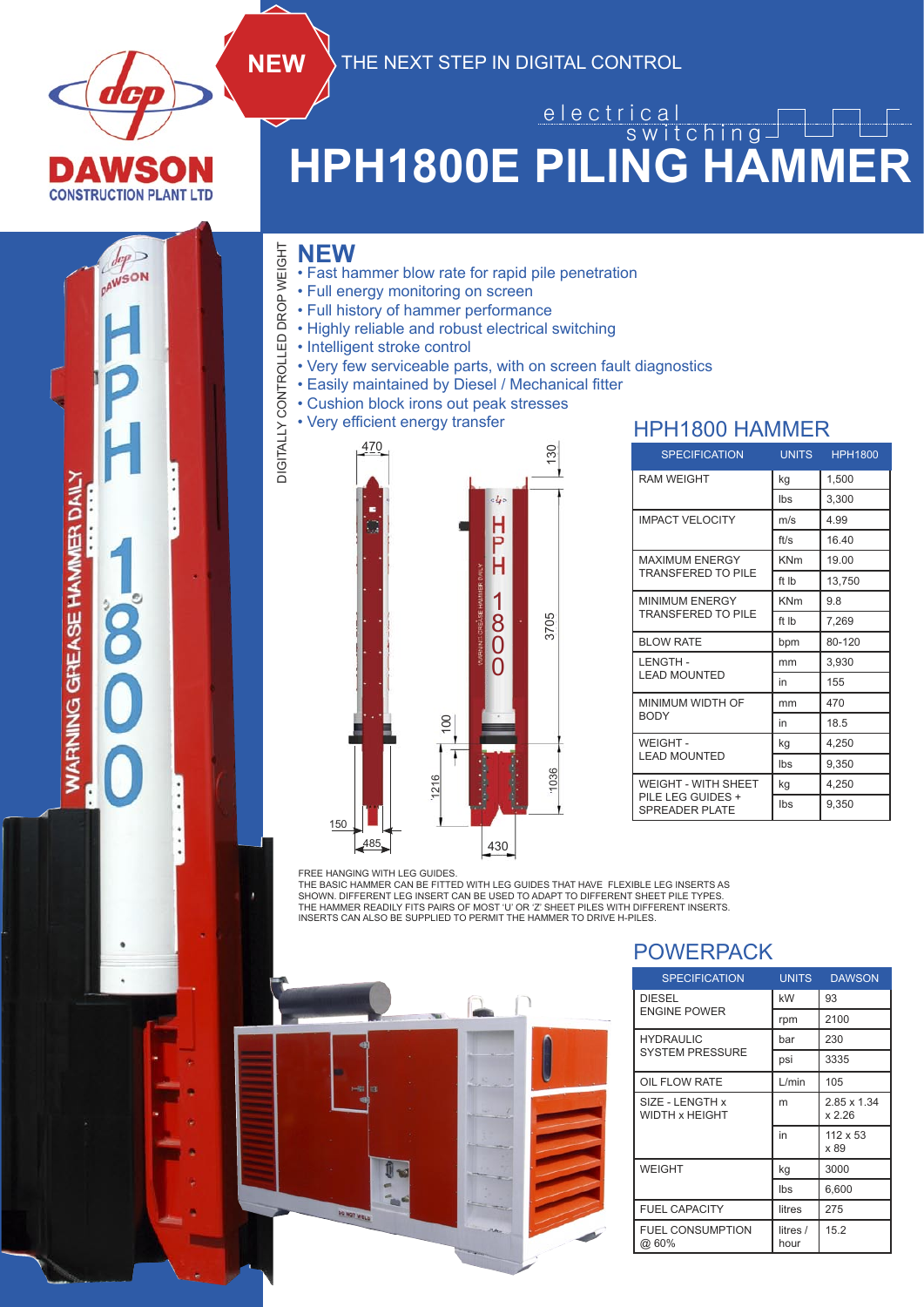

**AWSON** 

WARNING GREASE HAMMER DAILY

### **HPH1800E PILING HAMMER** e l e c t r i c a l switching

• Fast hammer blow rate for rapid pile penetration

**NEW** THE NEXT STEP IN DIGITAL CONTROL

- Full energy monitoring on screen
- Full history of hammer performance
- Highly reliable and robust electrical switching
- Intelligent stroke control
- Very few serviceable parts, with on screen fault diagnostics
- Easily maintained by Diesel / Mechanical fitter
- Cushion block irons out peak stresses



FREE HANGING WITH LEG GUIDES.

THE BASIC HAMMER CAN BE FITTED WITH LEG GUIDES THAT HAVE FLEXIBLE LEG INSERTS AS



#### POWERPACK

| <b>SPECIFICATION</b>              | <b>UNITS</b>     | <b>DAWSON</b>           |  |
|-----------------------------------|------------------|-------------------------|--|
| <b>DIESEL</b>                     | kW               | 93                      |  |
| <b>ENGINE POWER</b>               | rpm              | 2100                    |  |
| <b>HYDRAULIC</b>                  | bar              | 230                     |  |
| <b>SYSTEM PRESSURE</b>            | psi              | 3335                    |  |
| OIL FLOW RATE                     | L/min            | 105                     |  |
| SIZE - LENGTH x<br>WIDTH x HEIGHT | m                | 2.85 x 1.34<br>x 2.26   |  |
|                                   | in               | $112 \times 53$<br>x 89 |  |
| <b>WEIGHT</b>                     | kg               | 3000                    |  |
|                                   | lbs              | 6,600                   |  |
| <b>FUEL CAPACITY</b>              | litres           | 275                     |  |
| <b>FUEL CONSUMPTION</b><br>@ 60%  | litres /<br>hour | 15.2                    |  |

#### HPH1800 HAMMER

| <b>SPECIFICATION</b>                | <b>UNITS</b> | <b>HPH1800</b> |  |
|-------------------------------------|--------------|----------------|--|
| <b>RAM WEIGHT</b>                   | kg           | 1,500          |  |
|                                     | Ibs          | 3,300          |  |
| <b>IMPACT VELOCITY</b>              | m/s          | 4.99           |  |
|                                     | ft/s         | 16.40          |  |
| <b>MAXIMUM ENERGY</b>               | <b>KNm</b>   | 19.00          |  |
| <b>TRANSFERED TO PILE</b>           | ft Ib        | 13,750         |  |
| <b>MINIMUM ENERGY</b>               | <b>KNm</b>   | 9.8            |  |
| <b>TRANSFERED TO PILE</b>           | ft Ib        | 7,269          |  |
| <b>BLOW RATE</b>                    | bpm          | 80-120         |  |
| <b>LENGTH-</b>                      | mm           | 3,930          |  |
| <b>LEAD MOUNTED</b>                 | in           | 155            |  |
| MINIMUM WIDTH OF                    | mm           | 470            |  |
| <b>BODY</b>                         | in           | 18.5           |  |
| WEIGHT-                             | kg           | 4.250          |  |
| <b>LEAD MOUNTED</b>                 | Ibs          | 9,350          |  |
| <b>WEIGHT - WITH SHEET</b>          | kg           | 4,250          |  |
| PILE LEG GUIDES +<br>SPREADER PLATE | Ibs          | 9,350          |  |